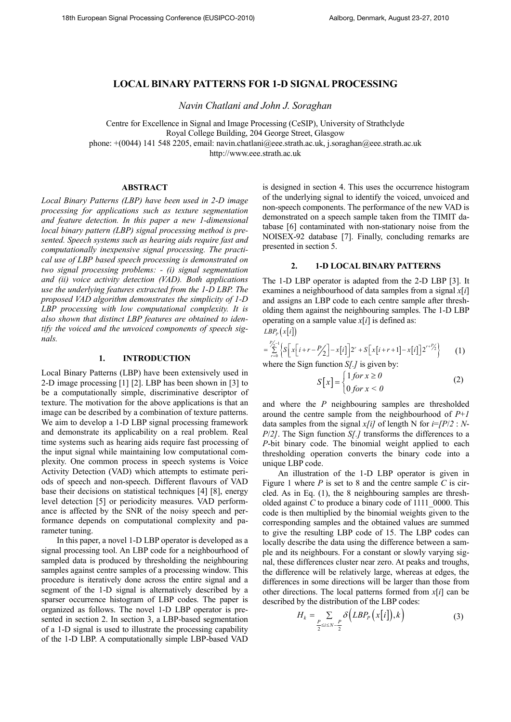# **LOCAL BIARY PATTERS FOR 1-D SIGAL PROCESSIG**

*avin Chatlani and John J. Soraghan* 

Centre for Excellence in Signal and Image Processing (CeSIP), University of Strathclyde

Royal College Building, 204 George Street, Glasgow

phone: +(0044) 141 548 2205, email: navin.chatlani@eee.strath.ac.uk, j.soraghan@eee.strath.ac.uk

http://www.eee.strath.ac.uk

## **ABSTRACT**

*Local Binary Patterns (LBP) have been used in 2-D image processing for applications such as texture segmentation and feature detection. In this paper a new 1-dimensional local binary pattern (LBP) signal processing method is presented. Speech systems such as hearing aids require fast and computationally inexpensive signal processing. The practical use of LBP based speech processing is demonstrated on two signal processing problems: - (i) signal segmentation and (ii) voice activity detection (VAD). Both applications use the underlying features extracted from the 1-D LBP. The proposed VAD algorithm demonstrates the simplicity of 1-D LBP processing with low computational complexity. It is also shown that distinct LBP features are obtained to identify the voiced and the unvoiced components of speech signals.* 

## 1. **INTRODUCTION**

Local Binary Patterns (LBP) have been extensively used in 2-D image processing [1] [2]. LBP has been shown in [3] to be a computationally simple, discriminative descriptor of texture. The motivation for the above applications is that an image can be described by a combination of texture patterns. We aim to develop a 1-D LBP signal processing framework and demonstrate its applicability on a real problem. Real time systems such as hearing aids require fast processing of the input signal while maintaining low computational complexity. One common process in speech systems is Voice Activity Detection (VAD) which attempts to estimate periods of speech and non-speech. Different flavours of VAD base their decisions on statistical techniques [4] [8], energy level detection [5] or periodicity measures. VAD performance is affected by the SNR of the noisy speech and performance depends on computational complexity and parameter tuning.

In this paper, a novel 1-D LBP operator is developed as a signal processing tool. An LBP code for a neighbourhood of sampled data is produced by thresholding the neighbouring samples against centre samples of a processing window. This procedure is iteratively done across the entire signal and a segment of the 1-D signal is alternatively described by a sparser occurrence histogram of LBP codes. The paper is organized as follows. The novel 1-D LBP operator is presented in section 2. In section 3, a LBP-based segmentation of a 1-D signal is used to illustrate the processing capability of the 1-D LBP. A computationally simple LBP-based VAD

is designed in section 4. This uses the occurrence histogram of the underlying signal to identify the voiced, unvoiced and non-speech components. The performance of the new VAD is demonstrated on a speech sample taken from the TIMIT database [6] contaminated with non-stationary noise from the NOISEX-92 database [7]. Finally, concluding remarks are presented in section 5.

## **2. 1-D LOCAL BIARY PATTERS**

The 1-D LBP operator is adapted from the 2-D LBP [3]. It examines a neighbourhood of data samples from a signal *x*[*i*] and assigns an LBP code to each centre sample after thresholding them against the neighbouring samples. The 1-D LBP operating on a sample value  $x[i]$  is defined as:

 $LBP$ <sub>*P*</sub> $(x[i])$ 

$$
=\sum_{r=0}^{p/2-1}\left\{S\left[x\left[i+r-\frac{p}{2}\right]-x\left[i\right]\right]2^{r}+S\left[x\left[i+r+1\right]-x\left[i\right]\right]2^{r+\frac{p}{2}}\right\}\tag{1}
$$

where the Sign function *S[.]* is given by:

$$
S[x] = \begin{cases} 1 \text{ for } x \ge 0 \\ 0 \text{ for } x < 0 \end{cases} \tag{2}
$$

and where the *P* neighbouring samples are thresholded around the centre sample from the neighbourhood of *P*+*1* data samples from the signal  $x[i]$  of length N for  $i=[P/2 : N-1]$ *P*/*2]*. The Sign function *S[.]* transforms the differences to a *P*-bit binary code. The binomial weight applied to each thresholding operation converts the binary code into a unique LBP code.

An illustration of the 1-D LBP operator is given in Figure 1 where *P* is set to 8 and the centre sample *C* is circled. As in Eq. (1), the 8 neighbouring samples are thresholded against *C* to produce a binary code of 1111\_0000. This code is then multiplied by the binomial weights given to the corresponding samples and the obtained values are summed to give the resulting LBP code of 15. The LBP codes can locally describe the data using the difference between a sample and its neighbours. For a constant or slowly varying signal, these differences cluster near zero. At peaks and troughs, the difference will be relatively large, whereas at edges, the differences in some directions will be larger than those from other directions. The local patterns formed from *x*[*i*] can be described by the distribution of the LBP codes:

$$
H_k = \sum_{\frac{P}{2} \le i \le N - \frac{P}{2}} \delta\left(LBP_P\left(x[i]\right), k\right) \tag{3}
$$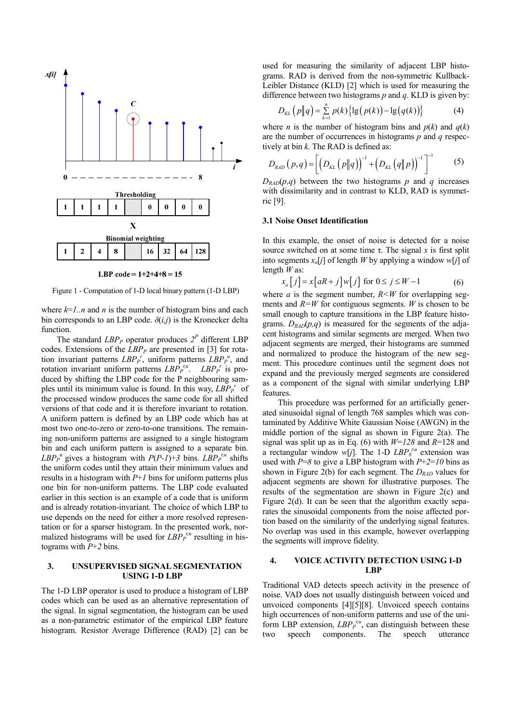

LBP code =  $1+2+4+8=15$ 

Figure 1 - Computation of 1-D local binary pattern (1-D LBP)

where  $k=1..n$  and *n* is the number of histogram bins and each bin corresponds to an LBP code.  $\delta(i,j)$  is the Kronecker delta function.

The standard  $LBP<sub>P</sub>$  operator produces  $2<sup>P</sup>$  different LBP codes. Extensions of the *LBPP* are presented in [3] for rotation invariant patterns  $LBP_{P}^{r}$ , uniform patterns  $LBP_{P}^{u}$ , and rotation invariant uniform patterns  $LBP_{P}^{r,u}$ .  $LBP_{P}^{r}$  is produced by shifting the LBP code for the P neighbouring samples until its minimum value is found. In this way, *LBP<sup>P</sup> r* of the processed window produces the same code for all shifted versions of that code and it is therefore invariant to rotation. A uniform pattern is defined by an LBP code which has at most two one-to-zero or zero-to-one transitions. The remaining non-uniform patterns are assigned to a single histogram bin and each uniform pattern is assigned to a separate bin. *LBP*<sup>*p*</sup></sup><sup>*u*</sup> gives a histogram with *P*(*P*-*1*)+*3* bins. *LBP*<sup>*r*<sub>*n*</sub><sup>*u*</sup></sup> shifts the uniform codes until they attain their minimum values and results in a histogram with *P*+*1* bins for uniform patterns plus one bin for non-uniform patterns. The LBP code evaluated earlier in this section is an example of a code that is uniform and is already rotation-invariant. The choice of which LBP to use depends on the need for either a more resolved representation or for a sparser histogram. In the presented work, normalized histograms will be used for  $LBP_P^{r,u}$  resulting in histograms with *P*+*2* bins.

#### **3. UNSUPERVISED SIGNAL SEGMENTATION USING 1-D LBP**

The 1-D LBP operator is used to produce a histogram of LBP codes which can be used as an alternative representation of the signal. In signal segmentation, the histogram can be used as a non-parametric estimator of the empirical LBP feature histogram. Resistor Average Difference (RAD) [2] can be used for measuring the similarity of adjacent LBP histograms. RAD is derived from the non-symmetric Kullback-Leibler Distance (KLD) [2] which is used for measuring the difference between two histograms *p* and *q*. KLD is given by:

$$
D_{KL}\left(p\|q\right) = \sum_{k=1}^{n} p(k) \left\{ \lg\left(p(k)\right) - \lg\left(q(k)\right) \right\} \tag{4}
$$

where *n* is the number of histogram bins and  $p(k)$  and  $q(k)$ are the number of occurrences in histograms *p* and *q* respectively at bin *k*. The RAD is defined as:

$$
D_{RAD}(p,q) = \left[ \left( D_{KL}(p||q) \right)^{-1} + \left( D_{KL}(q||p) \right)^{-1} \right]^{-1} \tag{5}
$$

 $D_{\text{RAD}}(p,q)$  between the two histograms *p* and *q* increases with dissimilarity and in contrast to KLD, RAD is symmetric [9].

#### **3.1 Noise Onset Identification**

In this example, the onset of noise is detected for a noise source switched on at some time τ. The signal *x* is first split into segments *xa*[*j*] of length *W* by applying a window *w*[*j*] of length *W* as:

$$
x_a[j] = x[aR + j]w[j] \text{ for } 0 \le j \le W - 1 \tag{6}
$$

where *a* is the segment number,  $R \leq W$  for overlapping segments and  $R=W$  for contiguous segments. *W* is chosen to be small enough to capture transitions in the LBP feature histograms.  $D_{\text{RAD}}(p,q)$  is measured for the segments of the adjacent histograms and similar segments are merged. When two adjacent segments are merged, their histograms are summed and normalized to produce the histogram of the new segment. This procedure continues until the segment does not expand and the previously merged segments are considered as a component of the signal with similar underlying LBP features.

This procedure was performed for an artificially generated sinusoidal signal of length 768 samples which was contaminated by Additive White Gaussian Noise (AWGN) in the middle portion of the signal as shown in Figure 2(a). The signal was split up as in Eq. (6) with *W*=*128* and *R*=128 and a rectangular window  $w[j]$ . The 1-D  $LBP<sub>8</sub><sup>r,u</sup>$  extension was used with  $P=8$  to give a LBP histogram with  $P+2=10$  bins as shown in Figure 2(b) for each segment. The *DRAD* values for adjacent segments are shown for illustrative purposes. The results of the segmentation are shown in Figure 2(c) and Figure 2(d). It can be seen that the algorithm exactly separates the sinusoidal components from the noise affected portion based on the similarity of the underlying signal features. No overlap was used in this example, however overlapping the segments will improve fidelity.

## **4. VOICE ACTIVITY DETECTION USING 1-D LBP**

Traditional VAD detects speech activity in the presence of noise. VAD does not usually distinguish between voiced and unvoiced components [4][5][8]. Unvoiced speech contains high occurrences of non-uniform patterns and use of the uniform LBP extension,  $LBP_{P}^{r,u}$ , can distinguish between these two speech components. The speech utterance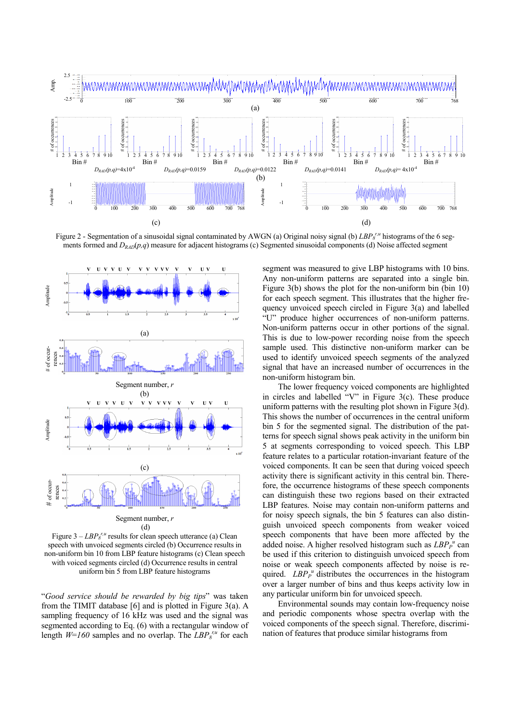

Figure 2 - Segmentation of a sinusoidal signal contaminated by AWGN (a) Original noisy signal (b)  $LBP<sub>8</sub><sup>r,u</sup>$  histograms of the 6 segments formed and  $D_{RAD}(p,q)$  measure for adjacent histograms (c) Segmented sinusoidal components (d) Noise affected segment



Figure  $3 - LBP<sub>8</sub><sup>r,u</sup>$  results for clean speech utterance (a) Clean speech with unvoiced segments circled (b) Occurrence results in non-uniform bin 10 from LBP feature histograms (c) Clean speech with voiced segments circled (d) Occurrence results in central uniform bin 5 from LBP feature histograms

"*Good service should be rewarded by big tips*" was taken from the TIMIT database [6] and is plotted in Figure 3(a). A sampling frequency of 16 kHz was used and the signal was segmented according to Eq. (6) with a rectangular window of length  $W=160$  samples and no overlap. The  $LBP<sub>8</sub><sup>r,u</sup>$  for each segment was measured to give LBP histograms with 10 bins. Any non-uniform patterns are separated into a single bin. Figure 3(b) shows the plot for the non-uniform bin (bin 10) for each speech segment. This illustrates that the higher frequency unvoiced speech circled in Figure 3(a) and labelled "U" produce higher occurrences of non-uniform patterns. Non-uniform patterns occur in other portions of the signal. This is due to low-power recording noise from the speech sample used. This distinctive non-uniform marker can be used to identify unvoiced speech segments of the analyzed signal that have an increased number of occurrences in the non-uniform histogram bin.

The lower frequency voiced components are highlighted in circles and labelled "V" in Figure 3(c). These produce uniform patterns with the resulting plot shown in Figure 3(d). This shows the number of occurrences in the central uniform bin 5 for the segmented signal. The distribution of the patterns for speech signal shows peak activity in the uniform bin 5 at segments corresponding to voiced speech. This LBP feature relates to a particular rotation-invariant feature of the voiced components. It can be seen that during voiced speech activity there is significant activity in this central bin. Therefore, the occurrence histograms of these speech components can distinguish these two regions based on their extracted LBP features. Noise may contain non-uniform patterns and for noisy speech signals, the bin 5 features can also distinguish unvoiced speech components from weaker voiced speech components that have been more affected by the added noise. A higher resolved histogram such as  $LBP_P^u$  can be used if this criterion to distinguish unvoiced speech from noise or weak speech components affected by noise is required.  $LBP_{P}^{u}$  distributes the occurrences in the histogram over a larger number of bins and thus keeps activity low in any particular uniform bin for unvoiced speech.

Environmental sounds may contain low-frequency noise and periodic components whose spectra overlap with the voiced components of the speech signal. Therefore, discrimination of features that produce similar histograms from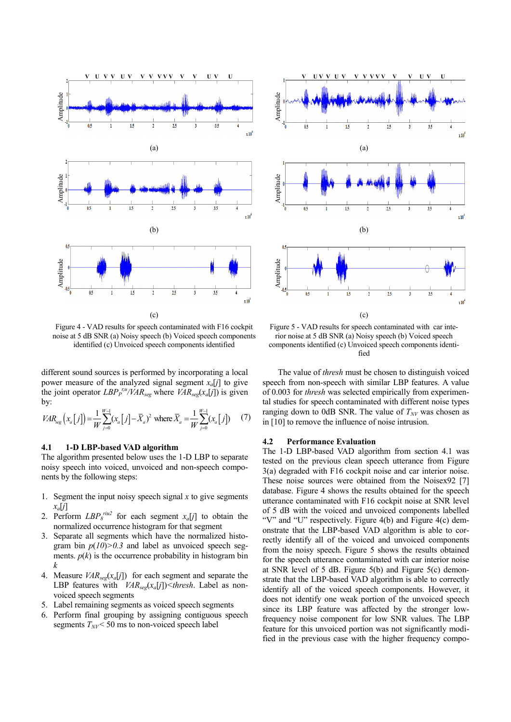

Figure 4 - VAD results for speech contaminated with F16 cockpit noise at 5 dB SNR (a) Noisy speech (b) Voiced speech components identified (c) Unvoiced speech components identified

different sound sources is performed by incorporating a local power measure of the analyzed signal segment  $x_a[j]$  to give the joint operator  $LBP_{P}^{r,u}/VAR_{seg}$  where  $VAR_{seg}(x_a[j])$  is given by:

$$
VAR_{seg}(x_a[j]) = \frac{1}{W} \sum_{j=0}^{W-1} (x_a[j] - \bar{X}_a)^2 \text{ where } \bar{X}_a = \frac{1}{W} \sum_{j=0}^{W-1} (x_a[j]) \tag{7}
$$

#### **4.1 1-D LBP-based VAD algorithm**

The algorithm presented below uses the 1-D LBP to separate noisy speech into voiced, unvoiced and non-speech components by the following steps:

- 1. Segment the input noisy speech signal *x* to give segments  $x_a[i]$
- 2. Perform  $LBP<sub>8</sub><sup>riu2</sup>$  for each segment  $x_a[j]$  to obtain the normalized occurrence histogram for that segment
- 3. Separate all segments which have the normalized histogram bin  $p(10)$  $> 0.3$  and label as unvoiced speech segments.  $p(k)$  is the occurrence probability in histogram bin *k*
- 4. Measure *VARseg*(*xa*[*j*]) for each segment and separate the LBP features with *VARseg*(*xa*[*j*])*<thresh*. Label as nonvoiced speech segments
- 5. Label remaining segments as voiced speech segments
- 6. Perform final grouping by assigning contiguous speech segments  $T_{\text{NV}}$  < 50 ms to non-voiced speech label



Figure 5 - VAD results for speech contaminated with car interior noise at 5 dB SNR (a) Noisy speech (b) Voiced speech components identified (c) Unvoiced speech components identified

The value of *thresh* must be chosen to distinguish voiced speech from non-speech with similar LBP features. A value of 0.003 for *thresh* was selected empirically from experimental studies for speech contaminated with different noise types ranging down to 0dB SNR. The value of  $T_{\text{NV}}$  was chosen as in [10] to remove the influence of noise intrusion.

#### **4.2 Performance Evaluation**

The 1-D LBP-based VAD algorithm from section 4.1 was tested on the previous clean speech utterance from Figure 3(a) degraded with F16 cockpit noise and car interior noise. These noise sources were obtained from the Noisex92 [7] database. Figure 4 shows the results obtained for the speech utterance contaminated with F16 cockpit noise at SNR level of 5 dB with the voiced and unvoiced components labelled "V" and "U" respectively. Figure 4(b) and Figure 4(c) demonstrate that the LBP-based VAD algorithm is able to correctly identify all of the voiced and unvoiced components from the noisy speech. Figure 5 shows the results obtained for the speech utterance contaminated with car interior noise at SNR level of 5 dB. Figure 5(b) and Figure 5(c) demonstrate that the LBP-based VAD algorithm is able to correctly identify all of the voiced speech components. However, it does not identify one weak portion of the unvoiced speech since its LBP feature was affected by the stronger lowfrequency noise component for low SNR values. The LBP feature for this unvoiced portion was not significantly modified in the previous case with the higher frequency compo